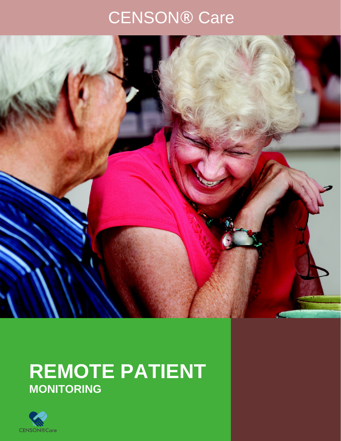# CENSON® Care



## **REMOTE PATIENT MONITORING**